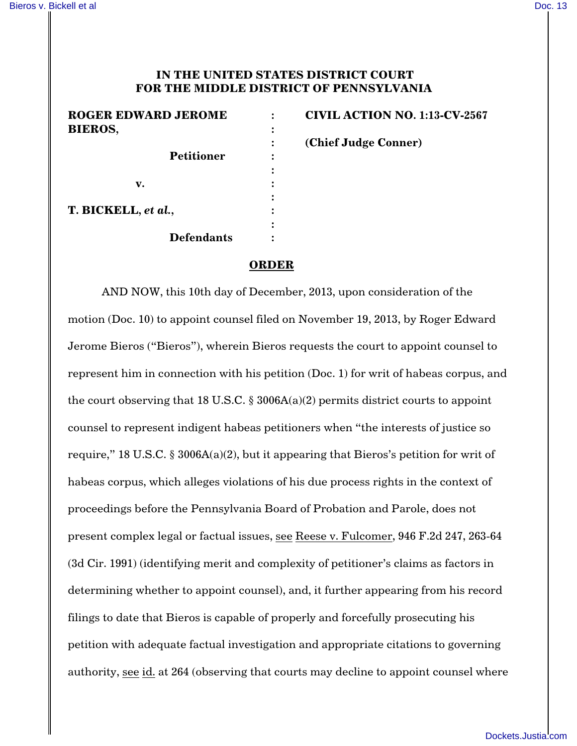## **IN THE UNITED STATES DISTRICT COURT FOR THE MIDDLE DISTRICT OF PENNSYLVANIA**

| <b>ROGER EDWARD JEROME</b> | <b>CIVIL ACTIO</b> |
|----------------------------|--------------------|
| <b>BIEROS,</b>             |                    |
|                            | (Chief Judge       |
| <b>Petitioner</b>          |                    |
|                            |                    |
| v.                         |                    |
|                            |                    |
| T. BICKELL, et al.,        |                    |
|                            |                    |
| <b>Defendants</b>          |                    |
|                            |                    |

**ROGER EDWARD JEROME : CIVIL ACTION NO. 1:13-CV-2567 : (Chief Judge Conner)**

## **ORDER**

AND NOW, this 10th day of December, 2013, upon consideration of the motion (Doc. 10) to appoint counsel filed on November 19, 2013, by Roger Edward Jerome Bieros ("Bieros"), wherein Bieros requests the court to appoint counsel to represent him in connection with his petition (Doc. 1) for writ of habeas corpus, and the court observing that 18 U.S.C.  $\S 3006A(a)(2)$  permits district courts to appoint counsel to represent indigent habeas petitioners when "the interests of justice so require," 18 U.S.C. § 3006A(a)(2), but it appearing that Bieros's petition for writ of habeas corpus, which alleges violations of his due process rights in the context of proceedings before the Pennsylvania Board of Probation and Parole, does not present complex legal or factual issues, see Reese v. Fulcomer, 946 F.2d 247, 263-64 (3d Cir. 1991) (identifying merit and complexity of petitioner's claims as factors in determining whether to appoint counsel), and, it further appearing from his record filings to date that Bieros is capable of properly and forcefully prosecuting his petition with adequate factual investigation and appropriate citations to governing authority, see id. at 264 (observing that courts may decline to appoint counsel where